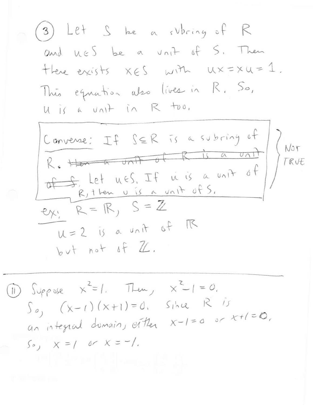(3) Let S be a subring of R and nES be a vrit of S. Then there exists  $x \in S$  with  $ux = xu = 1$ . This equation also lives in R. So, U is a unit in R too.



1) Suppose  $x^2=1$ . Then,  $x^2-1=0$ .  $S_{\rho}$   $(x-1)(x+1)=0$ ,  $S_{1}xR$   $\overline{15}$ an integral domain, either  $x-1=0$  or  $x+1=0$ .  $50, x = 100x = -1.$